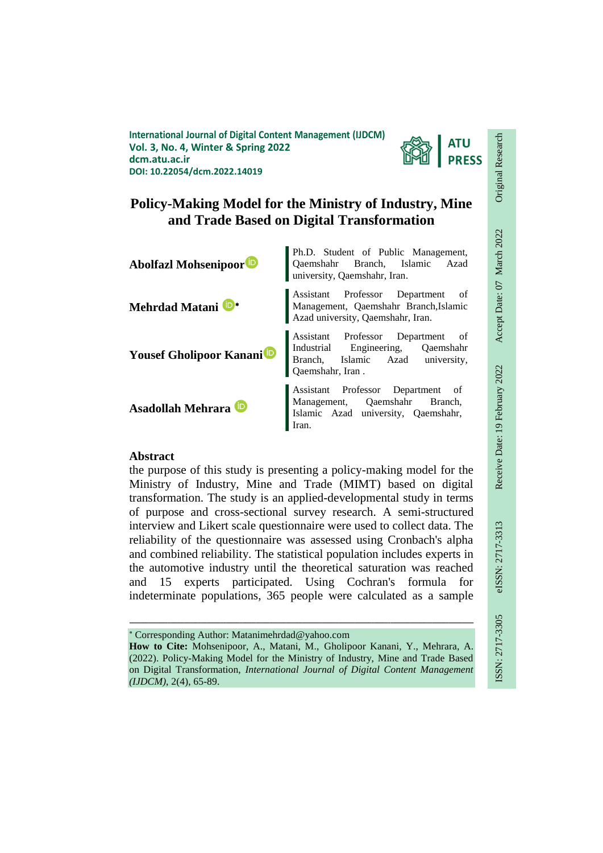**International Journal of Digital Content Management (IJDCM) Vol. 3, No. 4, Winter & Spring 2022 dcm.atu.ac.ir DOI: 10.22054/dcm.2022.14019**



# **Policy-Making Model for the Ministry of Industry, Mine and Trade Based on Digital Transformation**



## **Abstract**

the purpose of this study is presenting a policy-making model for the Ministry of Industry, Mine and Trade (MIMT) based on digital transformation. The study is an applied-developmental study in terms of purpose and cross-sectional survey research. A semi-structured interview and Likert scale questionnaire were used to collect data. The reliability of the questionnaire was assessed using Cronbach's alpha and combined reliability. The statistical population includes experts in the automotive industry until the theoretical saturation was reached and 15 experts participated. Using Cochran's formula for indeterminate populations, 365 people were calculated as a sample

Corresponding Author: Matanimehrdad@yahoo.com

**How to Cite:** Mohsenipoor, A., Matani, M., Gholipoor Kanani, Y., Mehrara, A. (2022). Policy-Making Model for the Ministry of Industry, Mine and Trade Based on Digital Transformation, *International Journal of Digital Content Management (IJDCM)*, 2(4), 65-89.

ـــــــــــــــــــــــــــــــــــــــــــــــــــــــــــــــــــــــــــــــــــــــــــــــــــــــــــــــــــــــــــــ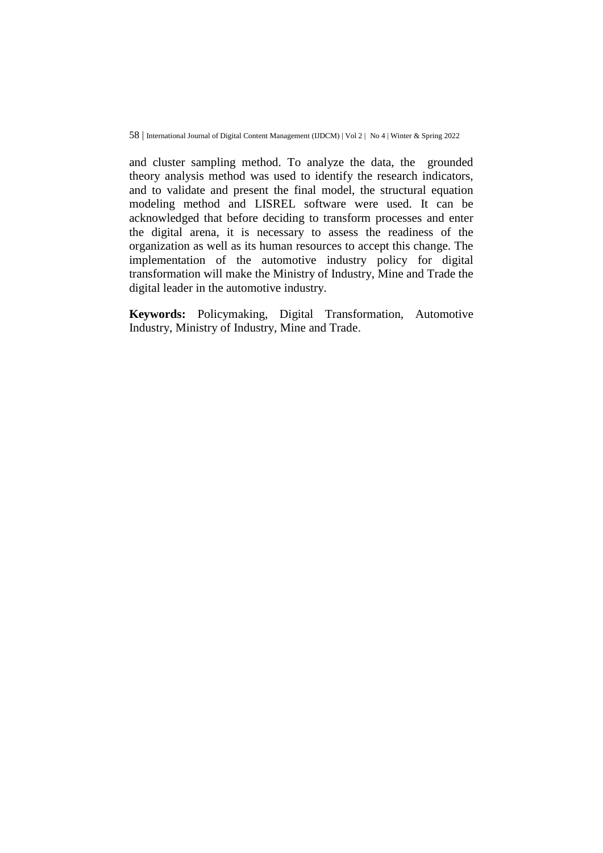and cluster sampling method. To analyze the data, the grounded theory analysis method was used to identify the research indicators, and to validate and present the final model, the structural equation modeling method and LISREL software were used. It can be acknowledged that before deciding to transform processes and enter the digital arena, it is necessary to assess the readiness of the organization as well as its human resources to accept this change. The implementation of the automotive industry policy for digital transformation will make the Ministry of Industry, Mine and Trade the digital leader in the automotive industry.

**Keywords:** Policymaking, Digital Transformation, Automotive Industry, Ministry of Industry, Mine and Trade.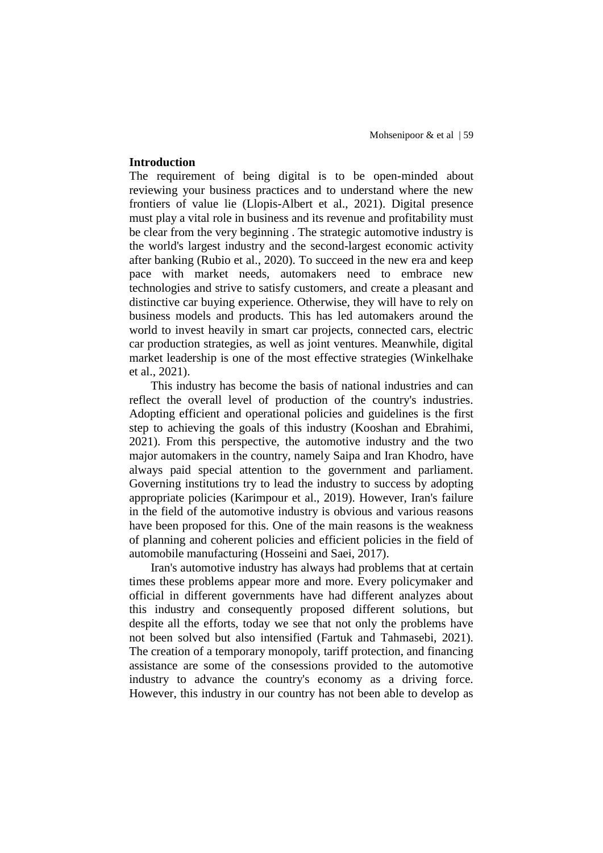### **Introduction**

The requirement of being digital is to be open-minded about reviewing your business practices and to understand where the new frontiers of value lie (Llopis-Albert et al., 2021). Digital presence must play a vital role in business and its revenue and profitability must be clear from the very beginning . The strategic automotive industry is the world's largest industry and the second-largest economic activity after banking (Rubio et al., 2020). To succeed in the new era and keep pace with market needs, automakers need to embrace new technologies and strive to satisfy customers, and create a pleasant and distinctive car buying experience. Otherwise, they will have to rely on business models and products. This has led automakers around the world to invest heavily in smart car projects, connected cars, electric car production strategies, as well as joint ventures. Meanwhile, digital market leadership is one of the most effective strategies (Winkelhake et al., 2021).

This industry has become the basis of national industries and can reflect the overall level of production of the country's industries. Adopting efficient and operational policies and guidelines is the first step to achieving the goals of this industry (Kooshan and Ebrahimi, 2021). From this perspective, the automotive industry and the two major automakers in the country, namely Saipa and Iran Khodro, have always paid special attention to the government and parliament. Governing institutions try to lead the industry to success by adopting appropriate policies (Karimpour et al., 2019). However, Iran's failure in the field of the automotive industry is obvious and various reasons have been proposed for this. One of the main reasons is the weakness of planning and coherent policies and efficient policies in the field of automobile manufacturing (Hosseini and Saei, 2017).

Iran's automotive industry has always had problems that at certain times these problems appear more and more. Every policymaker and official in different governments have had different analyzes about this industry and consequently proposed different solutions, but despite all the efforts, today we see that not only the problems have not been solved but also intensified (Fartuk and Tahmasebi, 2021). The creation of a temporary monopoly, tariff protection, and financing assistance are some of the consessions provided to the automotive industry to advance the country's economy as a driving force. However, this industry in our country has not been able to develop as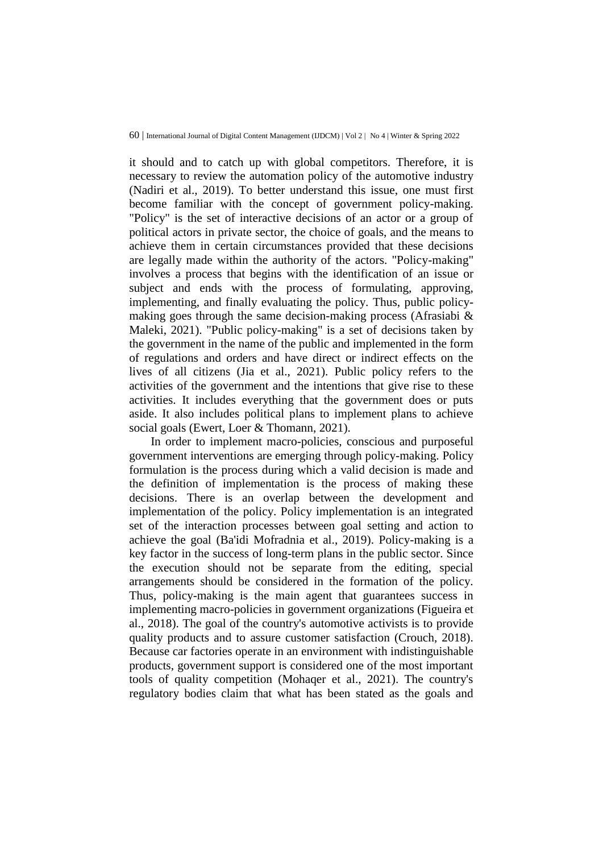it should and to catch up with global competitors. Therefore, it is necessary to review the automation policy of the automotive industry (Nadiri et al., 2019). To better understand this issue, one must first become familiar with the concept of government policy-making. "Policy" is the set of interactive decisions of an actor or a group of political actors in private sector, the choice of goals, and the means to achieve them in certain circumstances provided that these decisions are legally made within the authority of the actors. "Policy-making" involves a process that begins with the identification of an issue or subject and ends with the process of formulating, approving, implementing, and finally evaluating the policy. Thus, public policymaking goes through the same decision-making process (Afrasiabi & Maleki, 2021). "Public policy-making" is a set of decisions taken by the government in the name of the public and implemented in the form of regulations and orders and have direct or indirect effects on the lives of all citizens (Jia et al., 2021). Public policy refers to the activities of the government and the intentions that give rise to these activities. It includes everything that the government does or puts aside. It also includes political plans to implement plans to achieve social goals (Ewert, Loer & Thomann, 2021).

In order to implement macro-policies, conscious and purposeful government interventions are emerging through policy-making. Policy formulation is the process during which a valid decision is made and the definition of implementation is the process of making these decisions. There is an overlap between the development and implementation of the policy. Policy implementation is an integrated set of the interaction processes between goal setting and action to achieve the goal (Ba'idi Mofradnia et al., 2019). Policy-making is a key factor in the success of long-term plans in the public sector. Since the execution should not be separate from the editing, special arrangements should be considered in the formation of the policy. Thus, policy-making is the main agent that guarantees success in implementing macro-policies in government organizations (Figueira et al., 2018). The goal of the country's automotive activists is to provide quality products and to assure customer satisfaction (Crouch, 2018). Because car factories operate in an environment with indistinguishable products, government support is considered one of the most important tools of quality competition (Mohaqer et al., 2021). The country's regulatory bodies claim that what has been stated as the goals and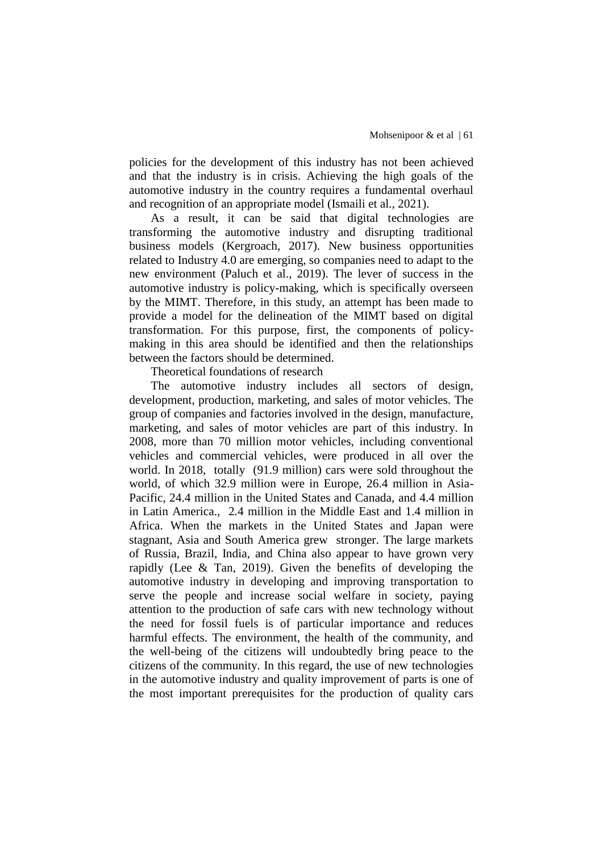policies for the development of this industry has not been achieved and that the industry is in crisis. Achieving the high goals of the automotive industry in the country requires a fundamental overhaul and recognition of an appropriate model (Ismaili et al., 2021).

As a result, it can be said that digital technologies are transforming the automotive industry and disrupting traditional business models (Kergroach, 2017). New business opportunities related to Industry 4.0 are emerging, so companies need to adapt to the new environment (Paluch et al., 2019). The lever of success in the automotive industry is policy-making, which is specifically overseen by the MIMT. Therefore, in this study, an attempt has been made to provide a model for the delineation of the MIMT based on digital transformation. For this purpose, first, the components of policymaking in this area should be identified and then the relationships between the factors should be determined.

Theoretical foundations of research

The automotive industry includes all sectors of design, development, production, marketing, and sales of motor vehicles. The group of companies and factories involved in the design, manufacture, marketing, and sales of motor vehicles are part of this industry. In 2008, more than 70 million motor vehicles, including conventional vehicles and commercial vehicles, were produced in all over the world. In 2018, totally (91.9 million) cars were sold throughout the world, of which 32.9 million were in Europe, 26.4 million in Asia-Pacific, 24.4 million in the United States and Canada, and 4.4 million in Latin America., 2.4 million in the Middle East and 1.4 million in Africa. When the markets in the United States and Japan were stagnant, Asia and South America grew stronger. The large markets of Russia, Brazil, India, and China also appear to have grown very rapidly (Lee & Tan, 2019). Given the benefits of developing the automotive industry in developing and improving transportation to serve the people and increase social welfare in society, paying attention to the production of safe cars with new technology without the need for fossil fuels is of particular importance and reduces harmful effects. The environment, the health of the community, and the well-being of the citizens will undoubtedly bring peace to the citizens of the community. In this regard, the use of new technologies in the automotive industry and quality improvement of parts is one of the most important prerequisites for the production of quality cars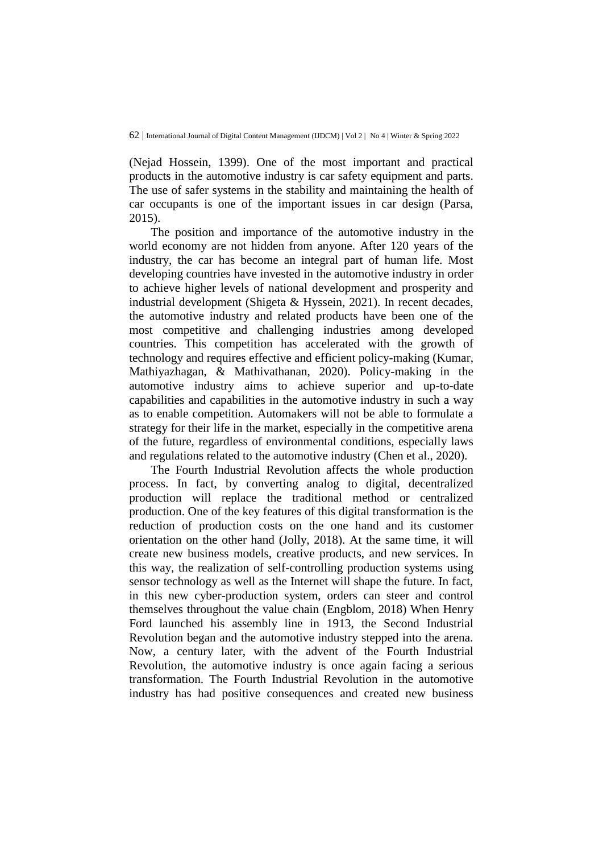(Nejad Hossein, 1399). One of the most important and practical products in the automotive industry is car safety equipment and parts. The use of safer systems in the stability and maintaining the health of car occupants is one of the important issues in car design (Parsa, 2015).

The position and importance of the automotive industry in the world economy are not hidden from anyone. After 120 years of the industry, the car has become an integral part of human life. Most developing countries have invested in the automotive industry in order to achieve higher levels of national development and prosperity and industrial development (Shigeta & Hyssein, 2021). In recent decades, the automotive industry and related products have been one of the most competitive and challenging industries among developed countries. This competition has accelerated with the growth of technology and requires effective and efficient policy-making (Kumar, Mathiyazhagan, & Mathivathanan, 2020). Policy-making in the automotive industry aims to achieve superior and up-to-date capabilities and capabilities in the automotive industry in such a way as to enable competition. Automakers will not be able to formulate a strategy for their life in the market, especially in the competitive arena of the future, regardless of environmental conditions, especially laws and regulations related to the automotive industry (Chen et al., 2020).

The Fourth Industrial Revolution affects the whole production process. In fact, by converting analog to digital, decentralized production will replace the traditional method or centralized production. One of the key features of this digital transformation is the reduction of production costs on the one hand and its customer orientation on the other hand (Jolly, 2018). At the same time, it will create new business models, creative products, and new services. In this way, the realization of self-controlling production systems using sensor technology as well as the Internet will shape the future. In fact, in this new cyber-production system, orders can steer and control themselves throughout the value chain (Engblom, 2018) When Henry Ford launched his assembly line in 1913, the Second Industrial Revolution began and the automotive industry stepped into the arena. Now, a century later, with the advent of the Fourth Industrial Revolution, the automotive industry is once again facing a serious transformation. The Fourth Industrial Revolution in the automotive industry has had positive consequences and created new business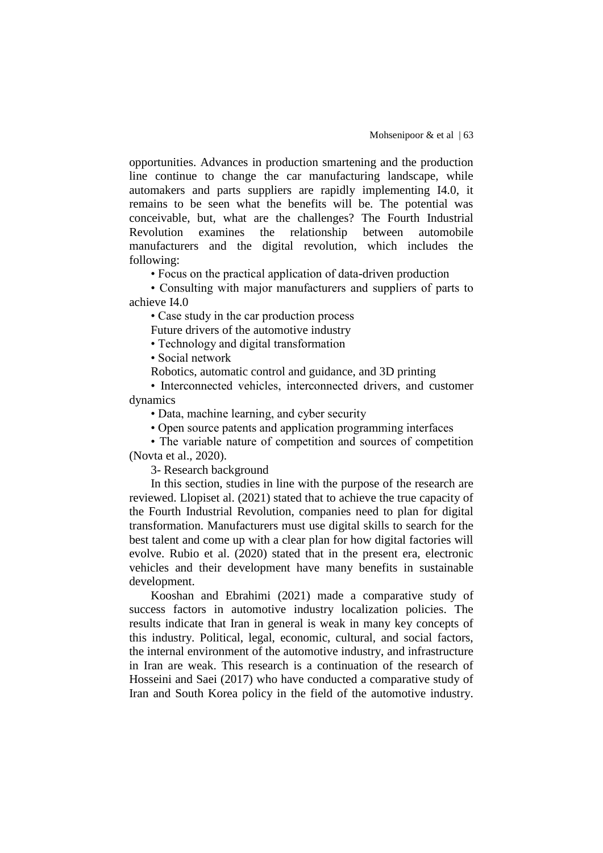opportunities. Advances in production smartening and the production line continue to change the car manufacturing landscape, while automakers and parts suppliers are rapidly implementing I4.0, it remains to be seen what the benefits will be. The potential was conceivable, but, what are the challenges? The Fourth Industrial Revolution examines the relationship between automobile manufacturers and the digital revolution, which includes the following:

• Focus on the practical application of data-driven production

• Consulting with major manufacturers and suppliers of parts to achieve I4.0

• Case study in the car production process

Future drivers of the automotive industry

• Technology and digital transformation

• Social network

Robotics, automatic control and guidance, and 3D printing

• Interconnected vehicles, interconnected drivers, and customer dynamics

• Data, machine learning, and cyber security

• Open source patents and application programming interfaces

• The variable nature of competition and sources of competition (Novta et al., 2020).

3- Research background

In this section, studies in line with the purpose of the research are reviewed. Llopiset al. (2021) stated that to achieve the true capacity of the Fourth Industrial Revolution, companies need to plan for digital transformation. Manufacturers must use digital skills to search for the best talent and come up with a clear plan for how digital factories will evolve. Rubio et al. (2020) stated that in the present era, electronic vehicles and their development have many benefits in sustainable development.

Kooshan and Ebrahimi (2021) made a comparative study of success factors in automotive industry localization policies. The results indicate that Iran in general is weak in many key concepts of this industry. Political, legal, economic, cultural, and social factors, the internal environment of the automotive industry, and infrastructure in Iran are weak. This research is a continuation of the research of Hosseini and Saei (2017) who have conducted a comparative study of Iran and South Korea policy in the field of the automotive industry.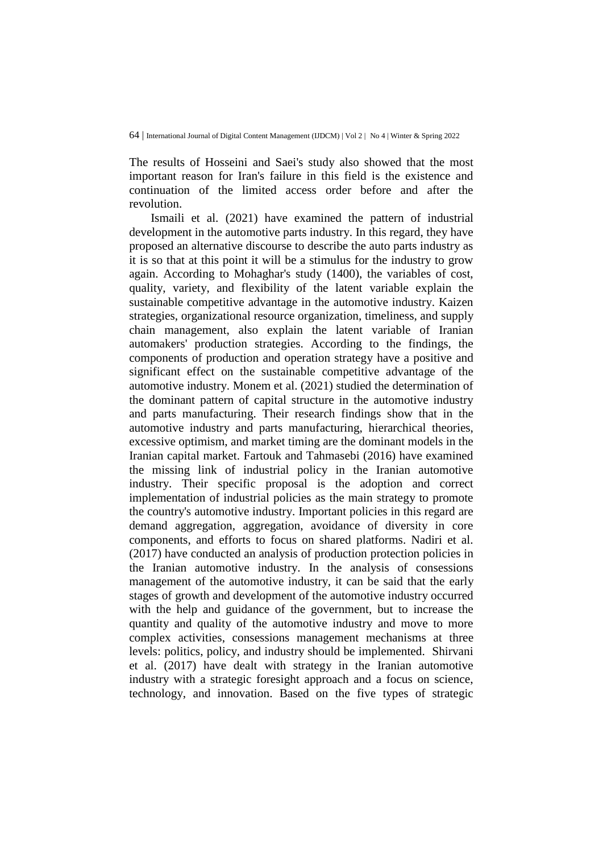The results of Hosseini and Saei's study also showed that the most important reason for Iran's failure in this field is the existence and continuation of the limited access order before and after the revolution.

Ismaili et al. (2021) have examined the pattern of industrial development in the automotive parts industry. In this regard, they have proposed an alternative discourse to describe the auto parts industry as it is so that at this point it will be a stimulus for the industry to grow again. According to Mohaghar's study (1400), the variables of cost, quality, variety, and flexibility of the latent variable explain the sustainable competitive advantage in the automotive industry. Kaizen strategies, organizational resource organization, timeliness, and supply chain management, also explain the latent variable of Iranian automakers' production strategies. According to the findings, the components of production and operation strategy have a positive and significant effect on the sustainable competitive advantage of the automotive industry. Monem et al. (2021) studied the determination of the dominant pattern of capital structure in the automotive industry and parts manufacturing. Their research findings show that in the automotive industry and parts manufacturing, hierarchical theories, excessive optimism, and market timing are the dominant models in the Iranian capital market. Fartouk and Tahmasebi (2016) have examined the missing link of industrial policy in the Iranian automotive industry. Their specific proposal is the adoption and correct implementation of industrial policies as the main strategy to promote the country's automotive industry. Important policies in this regard are demand aggregation, aggregation, avoidance of diversity in core components, and efforts to focus on shared platforms. Nadiri et al. (2017) have conducted an analysis of production protection policies in the Iranian automotive industry. In the analysis of consessions management of the automotive industry, it can be said that the early stages of growth and development of the automotive industry occurred with the help and guidance of the government, but to increase the quantity and quality of the automotive industry and move to more complex activities, consessions management mechanisms at three levels: politics, policy, and industry should be implemented. Shirvani et al. (2017) have dealt with strategy in the Iranian automotive industry with a strategic foresight approach and a focus on science, technology, and innovation. Based on the five types of strategic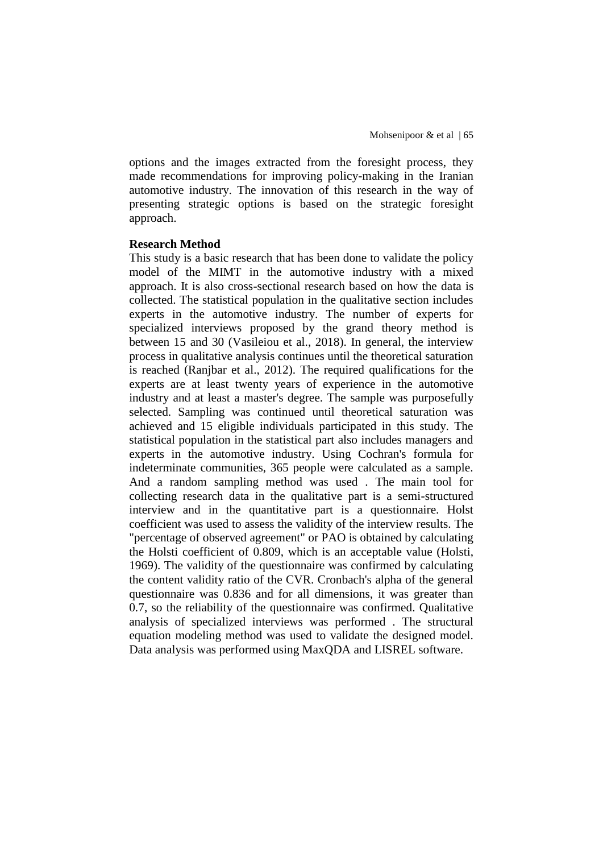options and the images extracted from the foresight process, they made recommendations for improving policy-making in the Iranian automotive industry. The innovation of this research in the way of presenting strategic options is based on the strategic foresight approach.

#### **Research Method**

This study is a basic research that has been done to validate the policy model of the MIMT in the automotive industry with a mixed approach. It is also cross-sectional research based on how the data is collected. The statistical population in the qualitative section includes experts in the automotive industry. The number of experts for specialized interviews proposed by the grand theory method is between 15 and 30 (Vasileiou et al., 2018). In general, the interview process in qualitative analysis continues until the theoretical saturation is reached (Ranjbar et al., 2012). The required qualifications for the experts are at least twenty years of experience in the automotive industry and at least a master's degree. The sample was purposefully selected. Sampling was continued until theoretical saturation was achieved and 15 eligible individuals participated in this study. The statistical population in the statistical part also includes managers and experts in the automotive industry. Using Cochran's formula for indeterminate communities, 365 people were calculated as a sample. And a random sampling method was used . The main tool for collecting research data in the qualitative part is a semi-structured interview and in the quantitative part is a questionnaire. Holst coefficient was used to assess the validity of the interview results. The "percentage of observed agreement" or PAO is obtained by calculating the Holsti coefficient of 0.809, which is an acceptable value (Holsti, 1969). The validity of the questionnaire was confirmed by calculating the content validity ratio of the CVR. Cronbach's alpha of the general questionnaire was 0.836 and for all dimensions, it was greater than 0.7, so the reliability of the questionnaire was confirmed. Qualitative analysis of specialized interviews was performed . The structural equation modeling method was used to validate the designed model. Data analysis was performed using MaxQDA and LISREL software.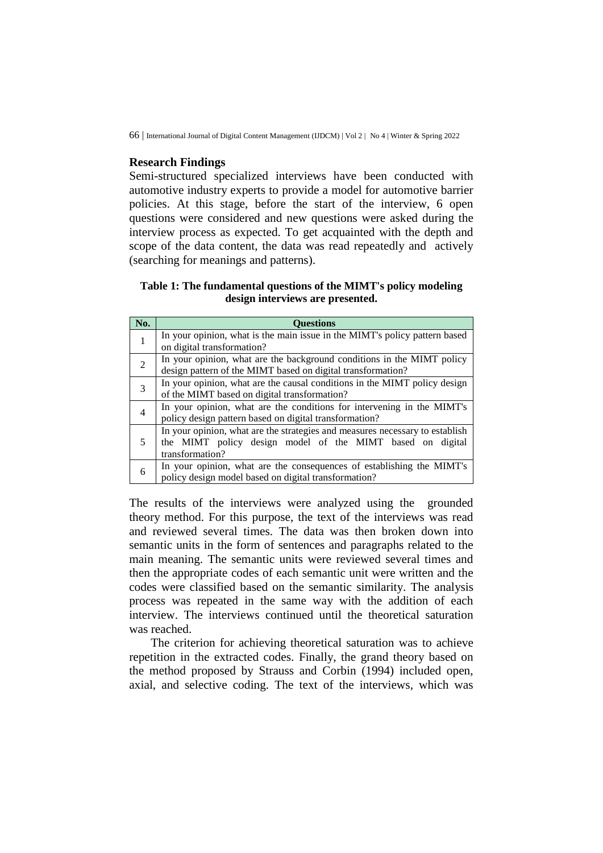### **Research Findings**

Semi-structured specialized interviews have been conducted with automotive industry experts to provide a model for automotive barrier policies. At this stage, before the start of the interview, 6 open questions were considered and new questions were asked during the interview process as expected. To get acquainted with the depth and scope of the data content, the data was read repeatedly and actively (searching for meanings and patterns).

#### **Table 1: The fundamental questions of the MIMT's policy modeling design interviews are presented.**

| No.            | Ouestions                                                                    |  |  |  |  |
|----------------|------------------------------------------------------------------------------|--|--|--|--|
|                | In your opinion, what is the main issue in the MIMT's policy pattern based   |  |  |  |  |
|                | on digital transformation?                                                   |  |  |  |  |
| $\overline{2}$ | In your opinion, what are the background conditions in the MIMT policy       |  |  |  |  |
|                | design pattern of the MIMT based on digital transformation?                  |  |  |  |  |
| 3              | In your opinion, what are the causal conditions in the MIMT policy design    |  |  |  |  |
|                | of the MIMT based on digital transformation?                                 |  |  |  |  |
| $\overline{4}$ | In your opinion, what are the conditions for intervening in the MIMT's       |  |  |  |  |
|                | policy design pattern based on digital transformation?                       |  |  |  |  |
|                | In your opinion, what are the strategies and measures necessary to establish |  |  |  |  |
| 5              | the MIMT policy design model of the MIMT based on digital                    |  |  |  |  |
|                | transformation?                                                              |  |  |  |  |
|                | In your opinion, what are the consequences of establishing the MIMT's        |  |  |  |  |
| 6              | policy design model based on digital transformation?                         |  |  |  |  |

The results of the interviews were analyzed using the grounded theory method. For this purpose, the text of the interviews was read and reviewed several times. The data was then broken down into semantic units in the form of sentences and paragraphs related to the main meaning. The semantic units were reviewed several times and then the appropriate codes of each semantic unit were written and the codes were classified based on the semantic similarity. The analysis process was repeated in the same way with the addition of each interview. The interviews continued until the theoretical saturation was reached.

The criterion for achieving theoretical saturation was to achieve repetition in the extracted codes. Finally, the grand theory based on the method proposed by Strauss and Corbin (1994) included open, axial, and selective coding. The text of the interviews, which was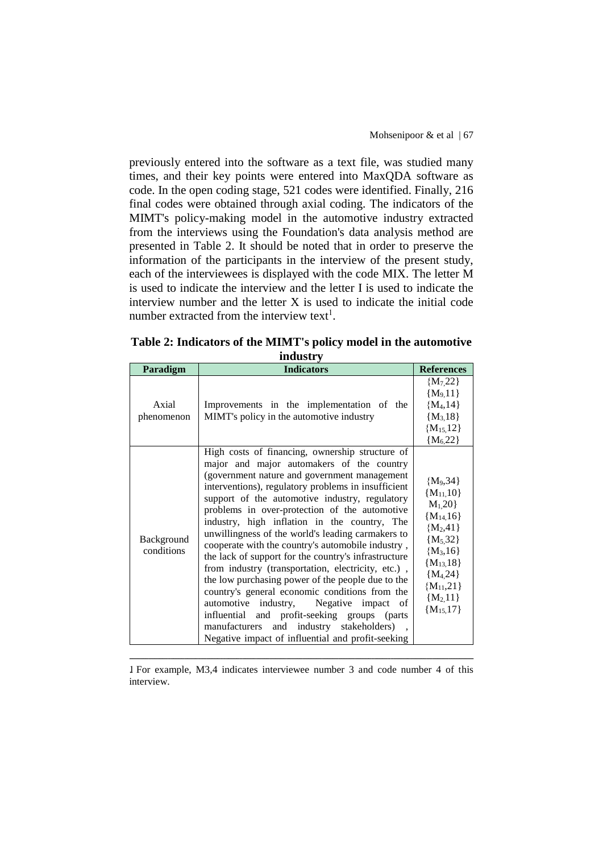previously entered into the software as a text file, was studied many times, and their key points were entered into MaxQDA software as code. In the open coding stage, 521 codes were identified. Finally, 216 final codes were obtained through axial coding. The indicators of the MIMT's policy-making model in the automotive industry extracted from the interviews using the Foundation's data analysis method are presented in Table 2. It should be noted that in order to preserve the information of the participants in the interview of the present study, each of the interviewees is displayed with the code MIX. The letter M is used to indicate the interview and the letter I is used to indicate the interview number and the letter  $X$  is used to indicate the initial code number extracted from the interview text<sup>1</sup>.

| шииэи у                  |                                                                                                                                                                                                                                                                                                                                                                                                                                                                                                                                                                                                                                                                                                                                                                                                                                                                                                                       |                                                                                                                                                                                    |  |  |
|--------------------------|-----------------------------------------------------------------------------------------------------------------------------------------------------------------------------------------------------------------------------------------------------------------------------------------------------------------------------------------------------------------------------------------------------------------------------------------------------------------------------------------------------------------------------------------------------------------------------------------------------------------------------------------------------------------------------------------------------------------------------------------------------------------------------------------------------------------------------------------------------------------------------------------------------------------------|------------------------------------------------------------------------------------------------------------------------------------------------------------------------------------|--|--|
| Paradigm                 | <b>Indicators</b>                                                                                                                                                                                                                                                                                                                                                                                                                                                                                                                                                                                                                                                                                                                                                                                                                                                                                                     | <b>References</b>                                                                                                                                                                  |  |  |
| Axial<br>phenomenon      | Improvements in the implementation of the<br>MIMT's policy in the automotive industry                                                                                                                                                                                                                                                                                                                                                                                                                                                                                                                                                                                                                                                                                                                                                                                                                                 | ${M_7,22}$<br>${M_9, 11}$<br>${M_4, 14}$<br>${M_3, 18}$<br>${M_{15,12}}$<br>${M_6,22}$                                                                                             |  |  |
| Background<br>conditions | High costs of financing, ownership structure of<br>major and major automakers of the country<br>(government nature and government management)<br>interventions), regulatory problems in insufficient<br>support of the automotive industry, regulatory<br>problems in over-protection of the automotive<br>industry, high inflation in the country, The<br>unwillingness of the world's leading carmakers to<br>cooperate with the country's automobile industry,<br>the lack of support for the country's infrastructure<br>from industry (transportation, electricity, etc.),<br>the low purchasing power of the people due to the<br>country's general economic conditions from the<br>automotive<br>industry,<br>Negative<br>impact<br><sub>of</sub><br>and profit-seeking groups (parts<br>influential<br>industry<br>stakeholders)<br>and<br>manufacturers<br>Negative impact of influential and profit-seeking | ${M_9,34}$<br>${M_{11,10}}$<br>$M_1, 20$<br>${M_{14,16}}$<br>${M_2,41}$<br>${M_5,32}$<br>${M_3,16}$<br>${M_{13,18}}$<br>${M4,24}$<br>${M_{11,21}}$<br>${M_2, 11}$<br>${M_{15,17}}$ |  |  |

**Table 2: Indicators of the MIMT's policy model in the automotive industry**

ـــــــــــــــــــــــــــــــــــــــــــــــــــــــــــــــــــــــــــــــــــــــــــــــــــــــــــــــــــــــــــــ 1. For example, M3,4 indicates interviewee number 3 and code number 4 of this interview.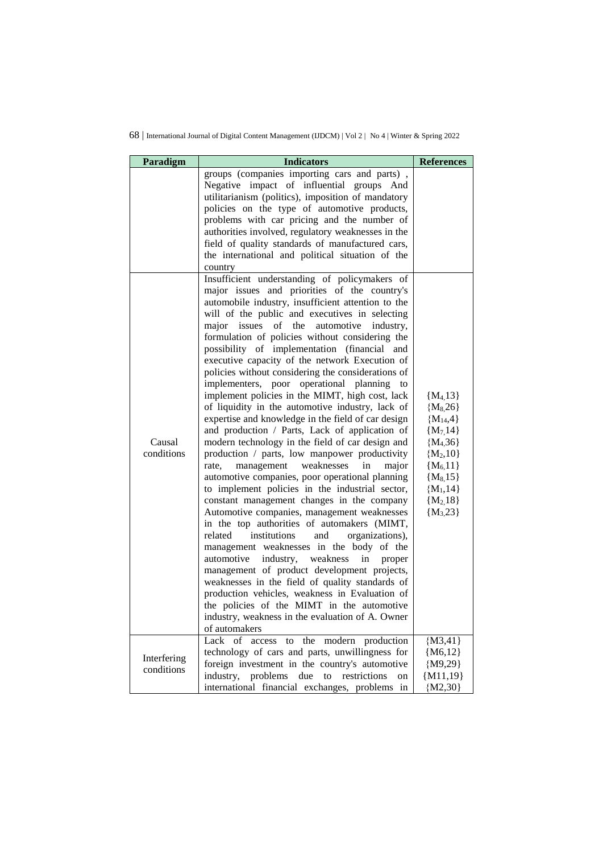| Paradigm             | <b>Indicators</b>                                                                                                                                                                                                                                                                                                                                                                                                                                                                                                                                                                                                                                                                                                                                                                                                                                                                                                                                                                                                                                                                                                                                                                                                                                                                                                                                                                                                                                                                                                                                                                                                                                                                                                                                                                                                                                                           | <b>References</b>                                                                                                                                            |
|----------------------|-----------------------------------------------------------------------------------------------------------------------------------------------------------------------------------------------------------------------------------------------------------------------------------------------------------------------------------------------------------------------------------------------------------------------------------------------------------------------------------------------------------------------------------------------------------------------------------------------------------------------------------------------------------------------------------------------------------------------------------------------------------------------------------------------------------------------------------------------------------------------------------------------------------------------------------------------------------------------------------------------------------------------------------------------------------------------------------------------------------------------------------------------------------------------------------------------------------------------------------------------------------------------------------------------------------------------------------------------------------------------------------------------------------------------------------------------------------------------------------------------------------------------------------------------------------------------------------------------------------------------------------------------------------------------------------------------------------------------------------------------------------------------------------------------------------------------------------------------------------------------------|--------------------------------------------------------------------------------------------------------------------------------------------------------------|
| Causal<br>conditions | groups (companies importing cars and parts),<br>Negative impact of influential groups And<br>utilitarianism (politics), imposition of mandatory<br>policies on the type of automotive products,<br>problems with car pricing and the number of<br>authorities involved, regulatory weaknesses in the<br>field of quality standards of manufactured cars,<br>the international and political situation of the<br>country<br>Insufficient understanding of policymakers of<br>major issues and priorities of the country's<br>automobile industry, insufficient attention to the<br>will of the public and executives in selecting<br>major issues of the automotive industry,<br>formulation of policies without considering the<br>possibility of implementation (financial and<br>executive capacity of the network Execution of<br>policies without considering the considerations of<br>implementers, poor operational planning<br>to<br>implement policies in the MIMT, high cost, lack<br>of liquidity in the automotive industry, lack of<br>expertise and knowledge in the field of car design<br>and production / Parts, Lack of application of<br>modern technology in the field of car design and<br>production / parts, low manpower productivity<br>management<br>weaknesses<br>rate.<br>in<br>major<br>automotive companies, poor operational planning<br>to implement policies in the industrial sector,<br>constant management changes in the company<br>Automotive companies, management weaknesses<br>in the top authorities of automakers (MIMT,<br>related<br>institutions<br>organizations),<br>and<br>management weaknesses in the body of the<br>automotive<br>industry, weakness<br>in<br>proper<br>management of product development projects,<br>weaknesses in the field of quality standards of<br>production vehicles, weakness in Evaluation of | ${M4, 13}$<br>${M_8,26}$<br>${M_{14,4}}$<br>${M_7,14}$<br>${M4, 36}$<br>${M_2,10}$<br>${M_{6,11}}$<br>${M_8, 15}$<br>${M_1, 14}$<br>${M_2,18}$<br>${M_3,23}$ |
| Interfering          | the policies of the MIMT in the automotive<br>industry, weakness in the evaluation of A. Owner<br>of automakers<br>Lack of<br>the modern production<br>access<br>to<br>technology of cars and parts, unwillingness for                                                                                                                                                                                                                                                                                                                                                                                                                                                                                                                                                                                                                                                                                                                                                                                                                                                                                                                                                                                                                                                                                                                                                                                                                                                                                                                                                                                                                                                                                                                                                                                                                                                      | ${M3,41}$<br>${M6,12}$                                                                                                                                       |
| conditions           | foreign investment in the country's automotive<br>industry, problems<br>due<br>to<br>restrictions<br>on<br>international financial exchanges, problems in                                                                                                                                                                                                                                                                                                                                                                                                                                                                                                                                                                                                                                                                                                                                                                                                                                                                                                                                                                                                                                                                                                                                                                                                                                                                                                                                                                                                                                                                                                                                                                                                                                                                                                                   | ${M9,29}$<br>${M11,19}$<br>${M2,30}$                                                                                                                         |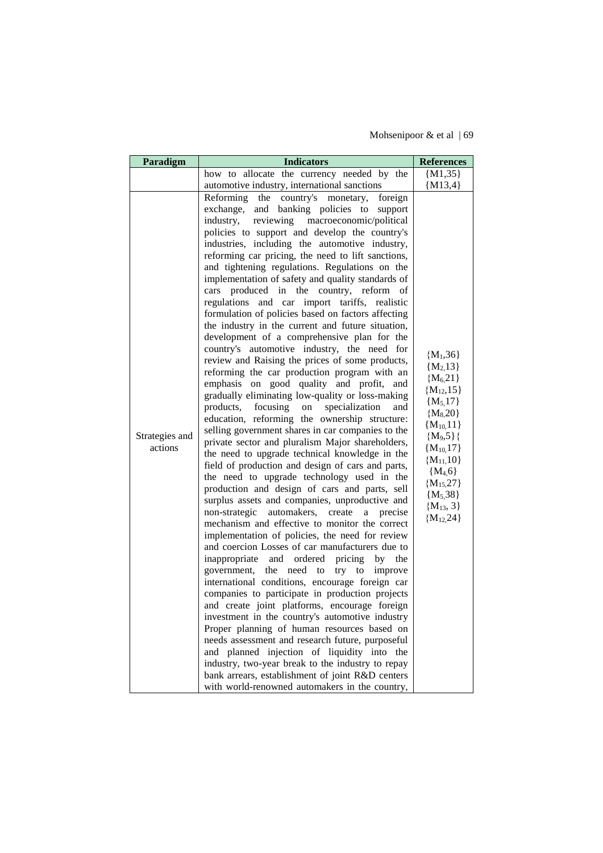Mohsenipoor & et al | 69

| Paradigm                  | <b>Indicators</b>                                                                                                                                                                                                                                                                                                                                                                                                                                                                                                                                                                                                                                                                                                                                                                                                                                                                                                                                                                                                                                                                                                                                                                                                                                                                                                                                                                                                                                                                                                                                                                                                                                                                                                                                                                                                                                                                                                                                                                                                                                                                                                                                                                                                                                             | <b>References</b>                                                                                                                                                                                                                   |
|---------------------------|---------------------------------------------------------------------------------------------------------------------------------------------------------------------------------------------------------------------------------------------------------------------------------------------------------------------------------------------------------------------------------------------------------------------------------------------------------------------------------------------------------------------------------------------------------------------------------------------------------------------------------------------------------------------------------------------------------------------------------------------------------------------------------------------------------------------------------------------------------------------------------------------------------------------------------------------------------------------------------------------------------------------------------------------------------------------------------------------------------------------------------------------------------------------------------------------------------------------------------------------------------------------------------------------------------------------------------------------------------------------------------------------------------------------------------------------------------------------------------------------------------------------------------------------------------------------------------------------------------------------------------------------------------------------------------------------------------------------------------------------------------------------------------------------------------------------------------------------------------------------------------------------------------------------------------------------------------------------------------------------------------------------------------------------------------------------------------------------------------------------------------------------------------------------------------------------------------------------------------------------------------------|-------------------------------------------------------------------------------------------------------------------------------------------------------------------------------------------------------------------------------------|
|                           | how to allocate the currency needed by the                                                                                                                                                                                                                                                                                                                                                                                                                                                                                                                                                                                                                                                                                                                                                                                                                                                                                                                                                                                                                                                                                                                                                                                                                                                                                                                                                                                                                                                                                                                                                                                                                                                                                                                                                                                                                                                                                                                                                                                                                                                                                                                                                                                                                    | ${M1,35}$                                                                                                                                                                                                                           |
|                           | automotive industry, international sanctions                                                                                                                                                                                                                                                                                                                                                                                                                                                                                                                                                                                                                                                                                                                                                                                                                                                                                                                                                                                                                                                                                                                                                                                                                                                                                                                                                                                                                                                                                                                                                                                                                                                                                                                                                                                                                                                                                                                                                                                                                                                                                                                                                                                                                  | ${M13,4}$                                                                                                                                                                                                                           |
| Strategies and<br>actions | Reforming the country's monetary, foreign<br>exchange,<br>and banking policies to support<br>reviewing macroeconomic/political<br>industry,<br>policies to support and develop the country's<br>industries, including the automotive industry,<br>reforming car pricing, the need to lift sanctions,<br>and tightening regulations. Regulations on the<br>implementation of safety and quality standards of<br>produced in the country, reform of<br>cars<br>regulations and car import tariffs, realistic<br>formulation of policies based on factors affecting<br>the industry in the current and future situation,<br>development of a comprehensive plan for the<br>country's automotive industry, the need for<br>review and Raising the prices of some products,<br>reforming the car production program with an<br>emphasis on good quality and profit,<br>and<br>gradually eliminating low-quality or loss-making<br>products,<br>focusing<br>specialization<br>on<br>and<br>education, reforming the ownership structure:<br>selling government shares in car companies to the<br>private sector and pluralism Major shareholders,<br>the need to upgrade technical knowledge in the<br>field of production and design of cars and parts,<br>the need to upgrade technology used in the<br>production and design of cars and parts, sell<br>surplus assets and companies, unproductive and<br>non-strategic<br>automakers,<br>create<br>a<br>precise<br>mechanism and effective to monitor the correct<br>implementation of policies, the need for review<br>and coercion Losses of car manufacturers due to<br>inappropriate<br>and ordered<br>pricing<br>by<br>the<br>try to<br>government,<br>the<br>need<br>to<br>improve<br>international conditions, encourage foreign car<br>companies to participate in production projects<br>and create joint platforms, encourage foreign<br>investment in the country's automotive industry<br>Proper planning of human resources based on<br>needs assessment and research future, purposeful<br>and planned injection of liquidity into the<br>industry, two-year break to the industry to repay<br>bank arrears, establishment of joint R&D centers<br>with world-renowned automakers in the country, | ${M_1,36}$<br>${M2, 13}$<br>${M6,21}$<br>${M_{12,15}}$<br>${M_5, 17}$<br>${M_8,20}$<br>${M_{10,11}}$<br>${M_9,5}$ }{<br>${M_{10,17}}$<br>${M_{11,10}}$<br>${M_{4,6}}$<br>${M_{15,27}}$<br>${M_5,38}$<br>${M13, 3}$<br>${M_{12,24}}$ |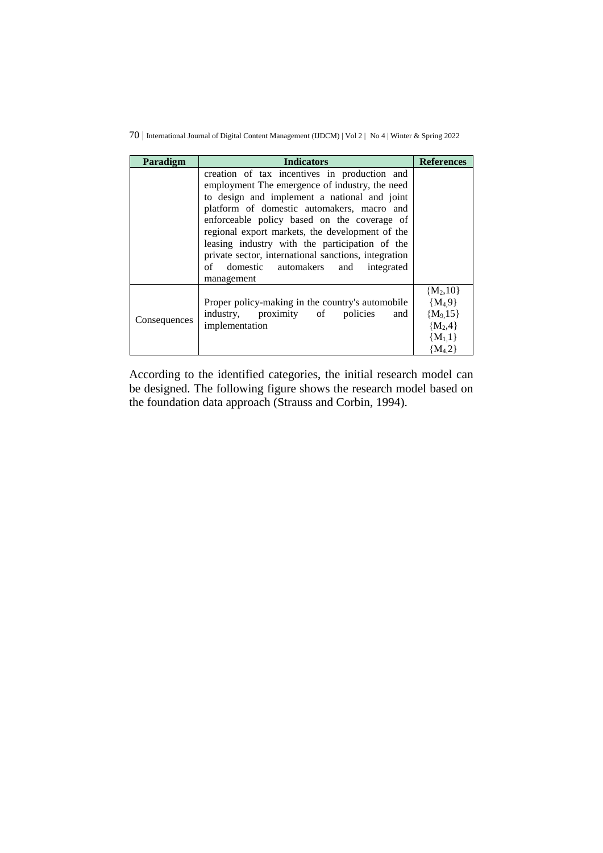| Paradigm     | <b>Indicators</b>                                                                                                                                                                                                                                                                                                                                                                                                                                                  |                                                                                 |  |
|--------------|--------------------------------------------------------------------------------------------------------------------------------------------------------------------------------------------------------------------------------------------------------------------------------------------------------------------------------------------------------------------------------------------------------------------------------------------------------------------|---------------------------------------------------------------------------------|--|
|              | creation of tax incentives in production and<br>employment The emergence of industry, the need<br>to design and implement a national and joint<br>platform of domestic automakers, macro and<br>enforceable policy based on the coverage of<br>regional export markets, the development of the<br>leasing industry with the participation of the<br>private sector, international sanctions, integration<br>of domestic automakers and<br>integrated<br>management |                                                                                 |  |
| Consequences | Proper policy-making in the country's automobile<br>industry, proximity of policies<br>and<br>implementation                                                                                                                                                                                                                                                                                                                                                       | ${M_2,10}$<br>${M_4,9}$<br>${M_9, 15}$<br>${M_2,4}$<br>${M_1,1}$<br>${M_{4,2}}$ |  |

According to the identified categories, the initial research model can be designed. The following figure shows the research model based on the foundation data approach (Strauss and Corbin, 1994).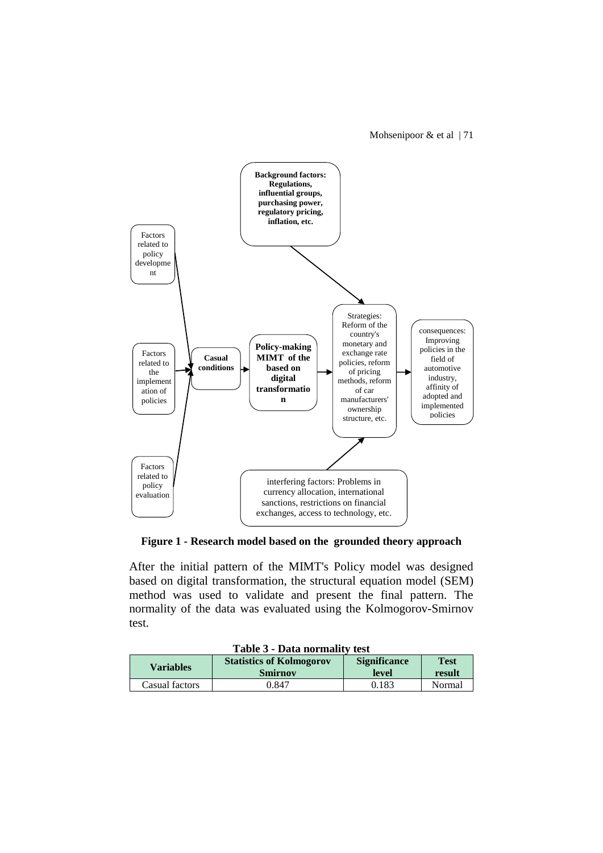Mohsenipoor  $&$  et al | 71



**Figure 1 - Research model based on the grounded theory approach**

After the initial pattern of the MIMT's Policy model was designed based on digital transformation, the structural equation model (SEM) method was used to validate and present the final pattern. The normality of the data was evaluated using the Kolmogorov-Smirnov test.

| Table 3 - Data normality test |                                 |                     |             |  |
|-------------------------------|---------------------------------|---------------------|-------------|--|
| <b>Variables</b>              | <b>Statistics of Kolmogorov</b> | <b>Significance</b> | <b>Test</b> |  |
|                               | <b>Smirnov</b>                  | level               | result      |  |
| Casual factors                | 0.847                           | 0.183               | Normal      |  |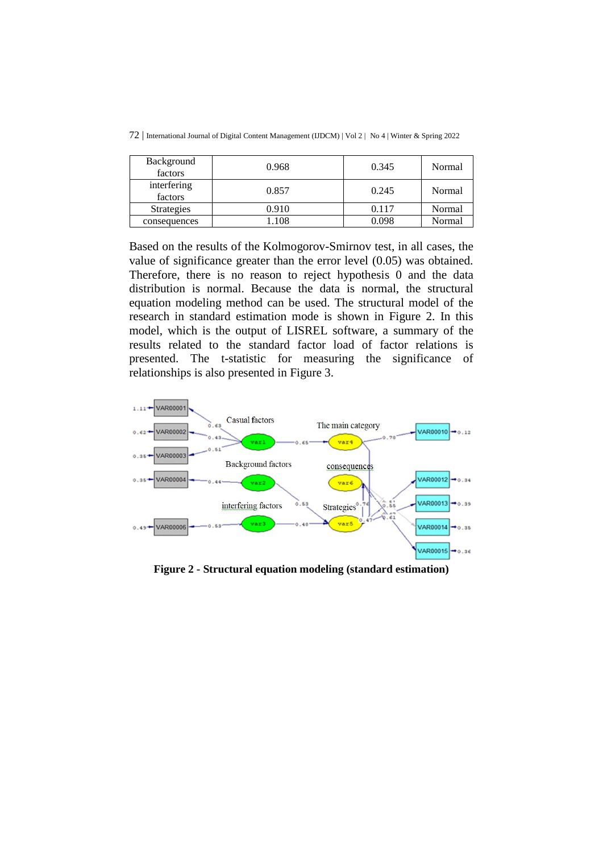| Background<br>factors  | 0.968 | 0.345 | Normal |
|------------------------|-------|-------|--------|
| interfering<br>factors | 0.857 | 0.245 | Normal |
| <b>Strategies</b>      | 0.910 | 0.117 | Normal |
| consequences           | l.108 | 0.098 | Normal |

72 | International Journal of Digital Content Management (IJDCM) | Vol 2 | No 4 | Winter & Spring 2022

Based on the results of the Kolmogorov-Smirnov test, in all cases, the value of significance greater than the error level (0.05) was obtained. Therefore, there is no reason to reject hypothesis 0 and the data distribution is normal. Because the data is normal, the structural equation modeling method can be used. The structural model of the research in standard estimation mode is shown in Figure 2. In this model, which is the output of LISREL software, a summary of the results related to the standard factor load of factor relations is presented. The t-statistic for measuring the significance of relationships is also presented in Figure 3.



**Figure 2 - Structural equation modeling (standard estimation)**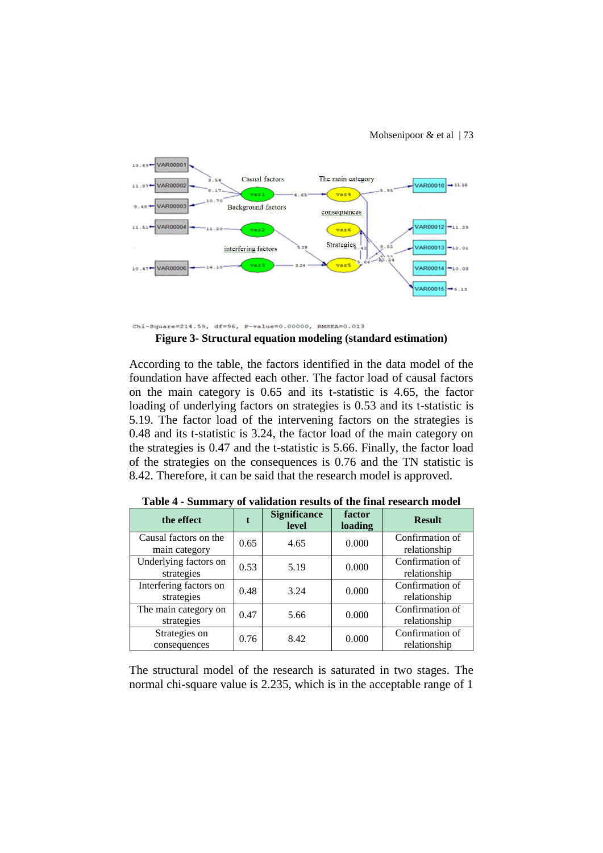

Chi-Square=214.59, df=96, P-value=0.00000, RMSEA=0.013

**Figure 3- Structural equation modeling (standard estimation)**

According to the table, the factors identified in the data model of the foundation have affected each other. The factor load of causal factors on the main category is 0.65 and its t-statistic is 4.65, the factor loading of underlying factors on strategies is 0.53 and its t-statistic is 5.19. The factor load of the intervening factors on the strategies is 0.48 and its t-statistic is 3.24, the factor load of the main category on the strategies is 0.47 and the t-statistic is 5.66. Finally, the factor load of the strategies on the consequences is 0.76 and the TN statistic is 8.42. Therefore, it can be said that the research model is approved.

|  | the effect                             |      | <b>Significance</b><br>level | factor<br>loading | <b>Result</b>                   |  |
|--|----------------------------------------|------|------------------------------|-------------------|---------------------------------|--|
|  | Causal factors on the<br>main category | 0.65 | 4.65                         | 0.000             | Confirmation of<br>relationship |  |
|  | Underlying factors on<br>strategies    | 0.53 | 5.19                         | 0.000             | Confirmation of<br>relationship |  |
|  | Interfering factors on<br>strategies   | 0.48 | 3.24                         | 0.000             | Confirmation of<br>relationship |  |
|  | The main category on<br>strategies     | 0.47 | 5.66                         | 0.000             | Confirmation of<br>relationship |  |
|  | Strategies on<br>consequences          | 0.76 | 8.42                         | 0.000             | Confirmation of<br>relationship |  |

**Table 4 - Summary of validation results of the final research model**

The structural model of the research is saturated in two stages. The normal chi-square value is 2.235, which is in the acceptable range of 1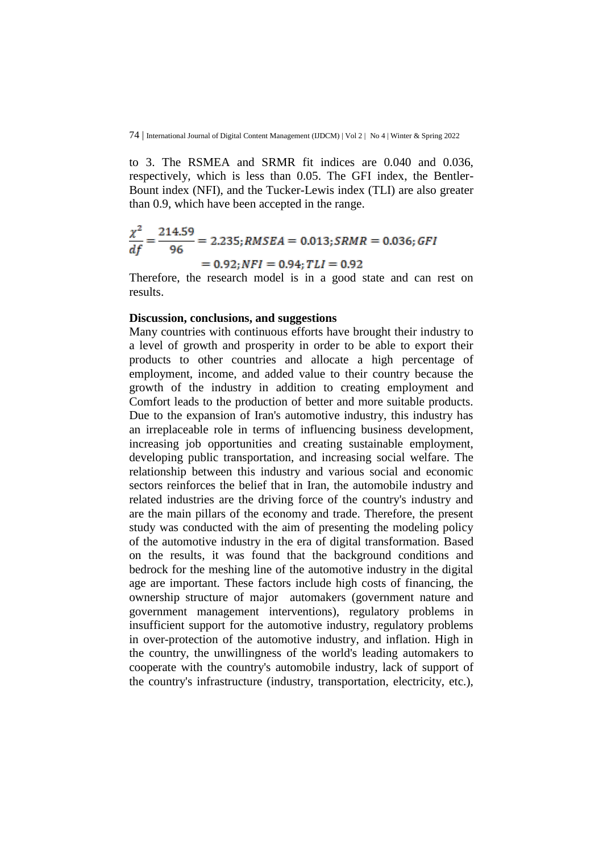to 3. The RSMEA and SRMR fit indices are 0.040 and 0.036, respectively, which is less than 0.05. The GFI index, the Bentler-Bount index (NFI), and the Tucker-Lewis index (TLI) are also greater than 0.9, which have been accepted in the range.

$$
\frac{\chi^2}{df} = \frac{214.59}{96} = 2.235; RMSEA = 0.013; SRMR = 0.036; GFI
$$

$$
= 0.92; NFI = 0.94; TLI = 0.92
$$

Therefore, the research model is in a good state and can rest on results.

#### **Discussion, conclusions, and suggestions**

Many countries with continuous efforts have brought their industry to a level of growth and prosperity in order to be able to export their products to other countries and allocate a high percentage of employment, income, and added value to their country because the growth of the industry in addition to creating employment and Comfort leads to the production of better and more suitable products. Due to the expansion of Iran's automotive industry, this industry has an irreplaceable role in terms of influencing business development, increasing job opportunities and creating sustainable employment, developing public transportation, and increasing social welfare. The relationship between this industry and various social and economic sectors reinforces the belief that in Iran, the automobile industry and related industries are the driving force of the country's industry and are the main pillars of the economy and trade. Therefore, the present study was conducted with the aim of presenting the modeling policy of the automotive industry in the era of digital transformation. Based on the results, it was found that the background conditions and bedrock for the meshing line of the automotive industry in the digital age are important. These factors include high costs of financing, the ownership structure of major automakers (government nature and government management interventions), regulatory problems in insufficient support for the automotive industry, regulatory problems in over-protection of the automotive industry, and inflation. High in the country, the unwillingness of the world's leading automakers to cooperate with the country's automobile industry, lack of support of the country's infrastructure (industry, transportation, electricity, etc.),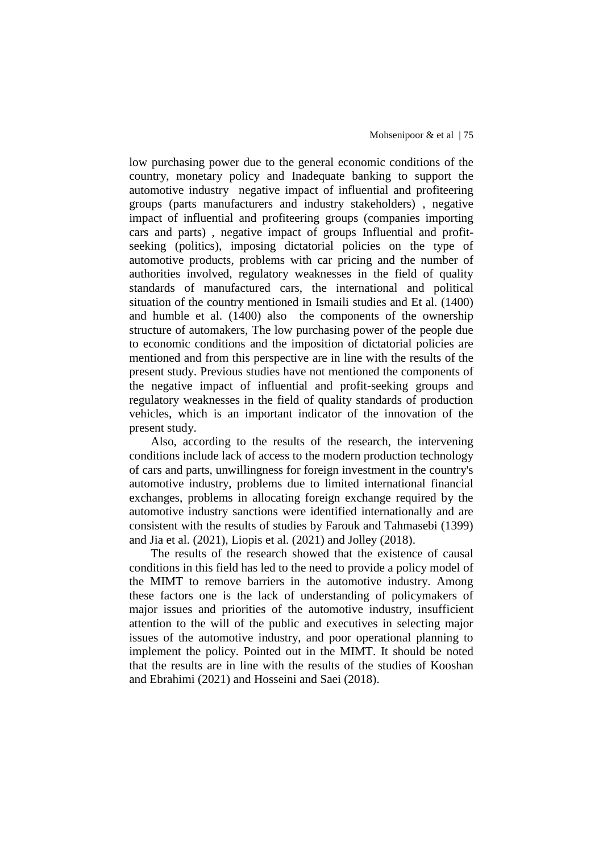low purchasing power due to the general economic conditions of the country, monetary policy and Inadequate banking to support the automotive industry negative impact of influential and profiteering groups (parts manufacturers and industry stakeholders) , negative impact of influential and profiteering groups (companies importing cars and parts) , negative impact of groups Influential and profitseeking (politics), imposing dictatorial policies on the type of automotive products, problems with car pricing and the number of authorities involved, regulatory weaknesses in the field of quality standards of manufactured cars, the international and political situation of the country mentioned in Ismaili studies and Et al. (1400) and humble et al. (1400) also the components of the ownership structure of automakers, The low purchasing power of the people due to economic conditions and the imposition of dictatorial policies are mentioned and from this perspective are in line with the results of the present study. Previous studies have not mentioned the components of the negative impact of influential and profit-seeking groups and regulatory weaknesses in the field of quality standards of production vehicles, which is an important indicator of the innovation of the present study.

Also, according to the results of the research, the intervening conditions include lack of access to the modern production technology of cars and parts, unwillingness for foreign investment in the country's automotive industry, problems due to limited international financial exchanges, problems in allocating foreign exchange required by the automotive industry sanctions were identified internationally and are consistent with the results of studies by Farouk and Tahmasebi (1399) and Jia et al. (2021), Liopis et al. (2021) and Jolley (2018).

The results of the research showed that the existence of causal conditions in this field has led to the need to provide a policy model of the MIMT to remove barriers in the automotive industry. Among these factors one is the lack of understanding of policymakers of major issues and priorities of the automotive industry, insufficient attention to the will of the public and executives in selecting major issues of the automotive industry, and poor operational planning to implement the policy. Pointed out in the MIMT. It should be noted that the results are in line with the results of the studies of Kooshan and Ebrahimi (2021) and Hosseini and Saei (2018).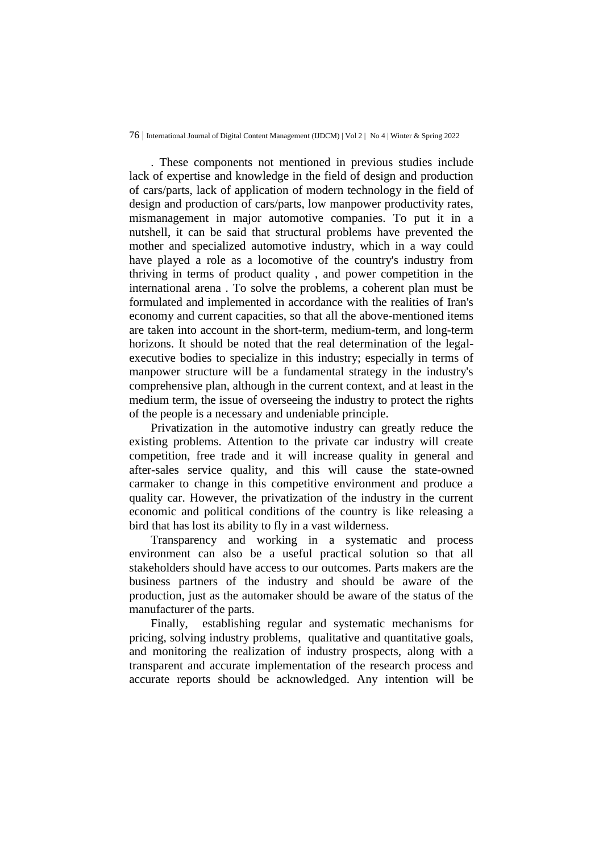. These components not mentioned in previous studies include lack of expertise and knowledge in the field of design and production of cars/parts, lack of application of modern technology in the field of design and production of cars/parts, low manpower productivity rates, mismanagement in major automotive companies. To put it in a nutshell, it can be said that structural problems have prevented the mother and specialized automotive industry, which in a way could have played a role as a locomotive of the country's industry from thriving in terms of product quality , and power competition in the international arena . To solve the problems, a coherent plan must be formulated and implemented in accordance with the realities of Iran's economy and current capacities, so that all the above-mentioned items are taken into account in the short-term, medium-term, and long-term horizons. It should be noted that the real determination of the legalexecutive bodies to specialize in this industry; especially in terms of manpower structure will be a fundamental strategy in the industry's comprehensive plan, although in the current context, and at least in the medium term, the issue of overseeing the industry to protect the rights of the people is a necessary and undeniable principle.

Privatization in the automotive industry can greatly reduce the existing problems. Attention to the private car industry will create competition, free trade and it will increase quality in general and after-sales service quality, and this will cause the state-owned carmaker to change in this competitive environment and produce a quality car. However, the privatization of the industry in the current economic and political conditions of the country is like releasing a bird that has lost its ability to fly in a vast wilderness.

Transparency and working in a systematic and process environment can also be a useful practical solution so that all stakeholders should have access to our outcomes. Parts makers are the business partners of the industry and should be aware of the production, just as the automaker should be aware of the status of the manufacturer of the parts.

Finally, establishing regular and systematic mechanisms for pricing, solving industry problems, qualitative and quantitative goals, and monitoring the realization of industry prospects, along with a transparent and accurate implementation of the research process and accurate reports should be acknowledged. Any intention will be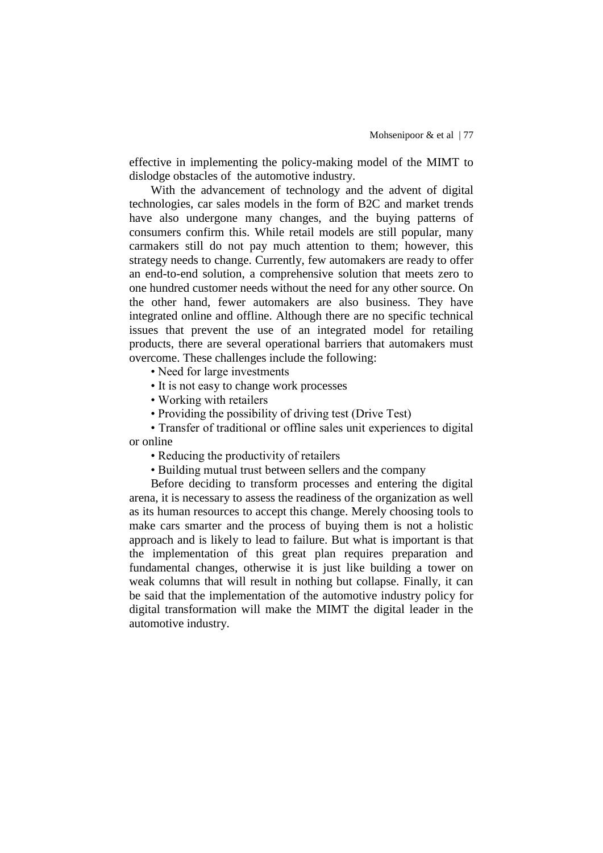effective in implementing the policy-making model of the MIMT to dislodge obstacles of the automotive industry.

With the advancement of technology and the advent of digital technologies, car sales models in the form of B2C and market trends have also undergone many changes, and the buying patterns of consumers confirm this. While retail models are still popular, many carmakers still do not pay much attention to them; however, this strategy needs to change. Currently, few automakers are ready to offer an end-to-end solution, a comprehensive solution that meets zero to one hundred customer needs without the need for any other source. On the other hand, fewer automakers are also business. They have integrated online and offline. Although there are no specific technical issues that prevent the use of an integrated model for retailing products, there are several operational barriers that automakers must overcome. These challenges include the following:

• Need for large investments

• It is not easy to change work processes

• Working with retailers

• Providing the possibility of driving test (Drive Test)

• Transfer of traditional or offline sales unit experiences to digital or online

• Reducing the productivity of retailers

• Building mutual trust between sellers and the company

Before deciding to transform processes and entering the digital arena, it is necessary to assess the readiness of the organization as well as its human resources to accept this change. Merely choosing tools to make cars smarter and the process of buying them is not a holistic approach and is likely to lead to failure. But what is important is that the implementation of this great plan requires preparation and fundamental changes, otherwise it is just like building a tower on weak columns that will result in nothing but collapse. Finally, it can be said that the implementation of the automotive industry policy for digital transformation will make the MIMT the digital leader in the automotive industry.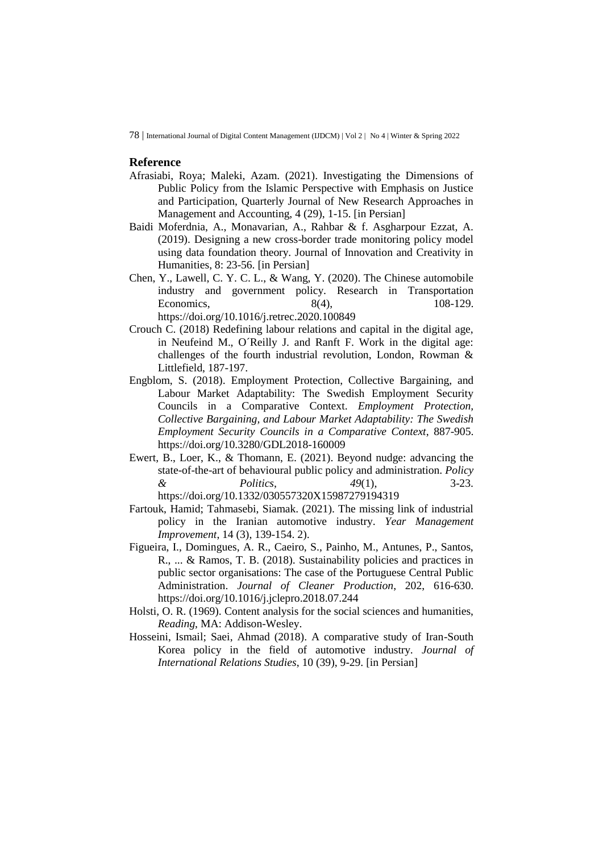#### **Reference**

- Afrasiabi, Roya; Maleki, Azam. (2021). Investigating the Dimensions of Public Policy from the Islamic Perspective with Emphasis on Justice and Participation, Quarterly Journal of New Research Approaches in Management and Accounting, 4 (29), 1-15. [in Persian]
- Baidi Moferdnia, A., Monavarian, A., Rahbar & f. Asgharpour Ezzat, A. (2019). Designing a new cross-border trade monitoring policy model using data foundation theory. Journal of Innovation and Creativity in Humanities, 8: 23-56. [in Persian]
- Chen, Y., Lawell, C. Y. C. L., & Wang, Y. (2020). The Chinese automobile industry and government policy. Research in Transportation Economics, 8(4), 108-129. <https://doi.org/10.1016/j.retrec.2020.100849>
- Crouch C. (2018) Redefining labour relations and capital in the digital age, in Neufeind M., O´Reilly J. and Ranft F. Work in the digital age: challenges of the fourth industrial revolution, London, Rowman & Littlefield, 187-197.
- Engblom, S. (2018). Employment Protection, Collective Bargaining, and Labour Market Adaptability: The Swedish Employment Security Councils in a Comparative Context. *Employment Protection, Collective Bargaining, and Labour Market Adaptability: The Swedish Employment Security Councils in a Comparative Context*, 887-905. <https://doi.org/10.3280/GDL2018-160009>
- Ewert, B., Loer, K., & Thomann, E. (2021). Beyond nudge: advancing the state-of-the-art of behavioural public policy and administration. *Policy & Politics*, *49*(1), 3-23.

<https://doi.org/10.1332/030557320X15987279194319>

- Fartouk, Hamid; Tahmasebi, Siamak. (2021). The missing link of industrial policy in the Iranian automotive industry. *Year Management Improvement*, 14 (3), 139-154. 2).
- Figueira, I., Domingues, A. R., Caeiro, S., Painho, M., Antunes, P., Santos, R., ... & Ramos, T. B. (2018). Sustainability policies and practices in public sector organisations: The case of the Portuguese Central Public Administration. *Journal of Cleaner Production*, 202, 616-630. <https://doi.org/10.1016/j.jclepro.2018.07.244>
- Holsti, O. R. (1969). Content analysis for the social sciences and humanities, *Reading*, MA: Addison-Wesley.
- Hosseini, Ismail; Saei, Ahmad (2018). A comparative study of Iran-South Korea policy in the field of automotive industry. *Journal of International Relations Studies*, 10 (39), 9-29. [in Persian]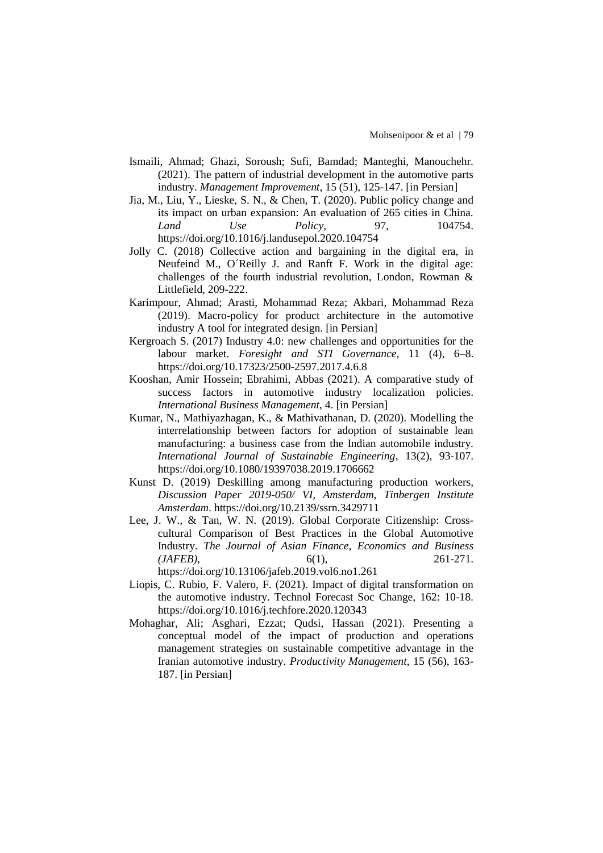- Ismaili, Ahmad; Ghazi, Soroush; Sufi, Bamdad; Manteghi, Manouchehr. (2021). The pattern of industrial development in the automotive parts industry. *Management Improvement*, 15 (51), 125-147. [in Persian]
- Jia, M., Liu, Y., Lieske, S. N., & Chen, T. (2020). Public policy change and its impact on urban expansion: An evaluation of 265 cities in China. *Land Use Policy*, 97, 104754. <https://doi.org/10.1016/j.landusepol.2020.104754>
- Jolly C. (2018) Collective action and bargaining in the digital era, in Neufeind M., O´Reilly J. and Ranft F. Work in the digital age: challenges of the fourth industrial revolution, London, Rowman & Littlefield, 209-222.
- Karimpour, Ahmad; Arasti, Mohammad Reza; Akbari, Mohammad Reza (2019). Macro-policy for product architecture in the automotive industry A tool for integrated design. [in Persian]
- Kergroach S. (2017) Industry 4.0: new challenges and opportunities for the labour market. *Foresight and STI Governance*, 11 (4), 6–8. <https://doi.org/10.17323/2500-2597.2017.4.6.8>
- Kooshan, Amir Hossein; Ebrahimi, Abbas (2021). A comparative study of success factors in automotive industry localization policies. *International Business Management*, 4. [in Persian]
- Kumar, N., Mathiyazhagan, K., & Mathivathanan, D. (2020). Modelling the interrelationship between factors for adoption of sustainable lean manufacturing: a business case from the Indian automobile industry. *International Journal of Sustainable Engineering*, 13(2), 93-107. <https://doi.org/10.1080/19397038.2019.1706662>
- Kunst D. (2019) Deskilling among manufacturing production workers, *Discussion Paper 2019-050/ VI, Amsterdam, Tinbergen Institute Amsterdam*. <https://doi.org/10.2139/ssrn.3429711>
- Lee, J. W., & Tan, W. N. (2019). Global Corporate Citizenship: Crosscultural Comparison of Best Practices in the Global Automotive Industry. *The Journal of Asian Finance, Economics and Business (JAFEB),* 6(1), 261-271.

<https://doi.org/10.13106/jafeb.2019.vol6.no1.261>

- Liopis, C. Rubio, F. Valero, F. (2021). Impact of digital transformation on the automotive industry. Technol Forecast Soc Change, 162: 10-18. <https://doi.org/10.1016/j.techfore.2020.120343>
- Mohaghar, Ali; Asghari, Ezzat; Qudsi, Hassan (2021). Presenting a conceptual model of the impact of production and operations management strategies on sustainable competitive advantage in the Iranian automotive industry. *Productivity Management*, 15 (56), 163- 187. [in Persian]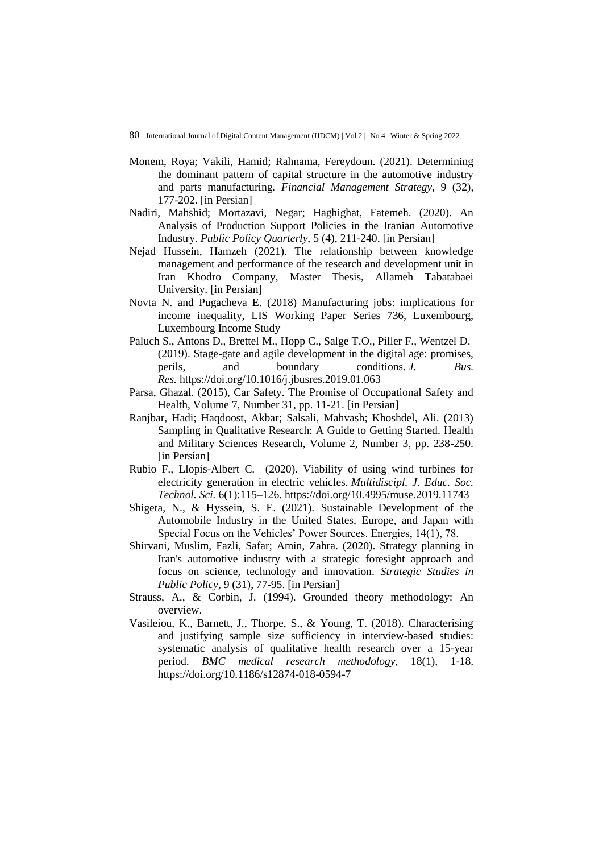- Monem, Roya; Vakili, Hamid; Rahnama, Fereydoun. (2021). Determining the dominant pattern of capital structure in the automotive industry and parts manufacturing*. Financial Management Strategy*, 9 (32), 177-202. [in Persian]
- Nadiri, Mahshid; Mortazavi, Negar; Haghighat, Fatemeh. (2020). An Analysis of Production Support Policies in the Iranian Automotive Industry. *Public Policy Quarterly*, 5 (4), 211-240. [in Persian]
- Nejad Hussein, Hamzeh (2021). The relationship between knowledge management and performance of the research and development unit in Iran Khodro Company, Master Thesis, Allameh Tabatabaei University. [in Persian]
- Novta N. and Pugacheva E. (2018) Manufacturing jobs: implications for income inequality, LIS Working Paper Series 736, Luxembourg, Luxembourg Income Study
- Paluch S., Antons D., Brettel M., Hopp C., Salge T.O., Piller F., Wentzel D. (2019). Stage-gate and agile development in the digital age: promises, perils, and boundary conditions. *J. Bus. Res.* <https://doi.org/10.1016/j.jbusres.2019.01.063>
- Parsa, Ghazal. (2015), Car Safety. The Promise of Occupational Safety and Health, Volume 7, Number 31, pp. 11-21. [in Persian]
- Ranjbar, Hadi; Haqdoost, Akbar; Salsali, Mahvash; Khoshdel, Ali. (2013) Sampling in Qualitative Research: A Guide to Getting Started. Health and Military Sciences Research, Volume 2, Number 3, pp. 238-250. [in Persian]
- Rubio F., Llopis-Albert C. (2020). Viability of using wind turbines for electricity generation in electric vehicles. *Multidiscipl. J. Educ. Soc. Technol. Sci.* 6(1):115–126. <https://doi.org/10.4995/muse.2019.11743>
- Shigeta, N., & Hyssein, S. E. (2021). Sustainable Development of the Automobile Industry in the United States, Europe, and Japan with Special Focus on the Vehicles' Power Sources. Energies, 14(1), 78.
- Shirvani, Muslim, Fazli, Safar; Amin, Zahra. (2020). Strategy planning in Iran's automotive industry with a strategic foresight approach and focus on science, technology and innovation. *Strategic Studies in Public Policy*, 9 (31), 77-95. [in Persian]
- Strauss, A., & Corbin, J. (1994). Grounded theory methodology: An overview.
- Vasileiou, K., Barnett, J., Thorpe, S., & Young, T. (2018). Characterising and justifying sample size sufficiency in interview-based studies: systematic analysis of qualitative health research over a 15-year period. *BMC medical research methodology*, 18(1), 1-18. <https://doi.org/10.1186/s12874-018-0594-7>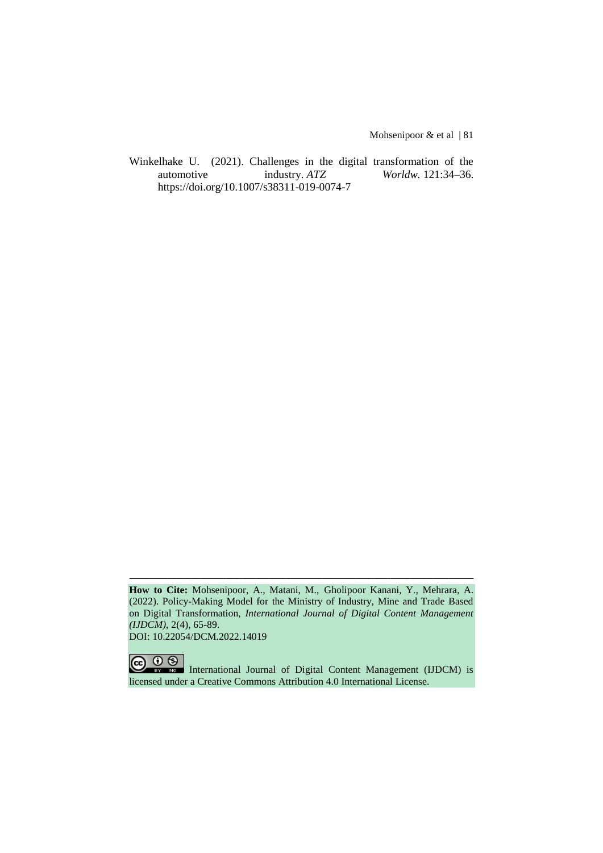Mohsenipoor & et al | 81

Winkelhake U. (2021). Challenges in the digital transformation of the automotive industry. *ATZ Worldw.* 121:34–36. <https://doi.org/10.1007/s38311-019-0074-7>

**How to Cite:** Mohsenipoor, A., Matani, M., Gholipoor Kanani, Y., Mehrara, A. (2022). Policy-Making Model for the Ministry of Industry, Mine and Trade Based on Digital Transformation, *International Journal of Digital Content Management (IJDCM)*, 2(4), 65-89. DOI: 10.22054/DCM.2022.14019

ـــــــــــــــــــــــــــــــــــــــــــــــــــــــــــــــــــــــــــــــــــــــــــــــــــــــــــــــــــــــــــــ

 $\overline{O}$ (cc International Journal of Digital Content Management (IJDCM) is licensed under a Creative Commons Attribution 4.0 International License.